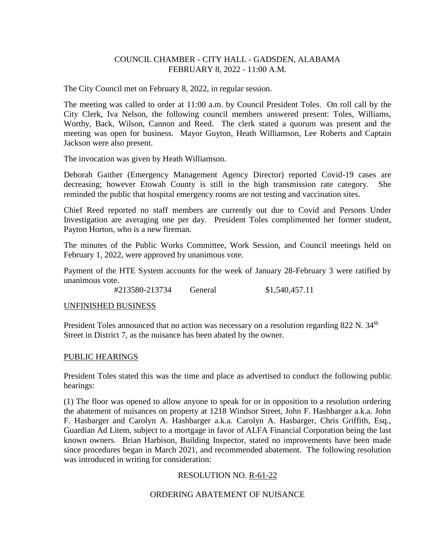### COUNCIL CHAMBER - CITY HALL - GADSDEN, ALABAMA FEBRUARY 8, 2022 - 11:00 A.M.

The City Council met on February 8, 2022, in regular session.

The meeting was called to order at 11:00 a.m. by Council President Toles. On roll call by the City Clerk, Iva Nelson, the following council members answered present: Toles, Williams, Worthy, Back, Wilson, Cannon and Reed. The clerk stated a quorum was present and the meeting was open for business. Mayor Guyton, Heath Williamson, Lee Roberts and Captain Jackson were also present.

The invocation was given by Heath Williamson.

Deborah Gaither (Emergency Management Agency Director) reported Covid-19 cases are decreasing; however Etowah County is still in the high transmission rate category. She reminded the public that hospital emergency rooms are not testing and vaccination sites.

Chief Reed reported no staff members are currently out due to Covid and Persons Under Investigation are averaging one per day. President Toles complimented her former student, Payton Horton, who is a new fireman.

The minutes of the Public Works Committee, Work Session, and Council meetings held on February 1, 2022, were approved by unanimous vote.

Payment of the HTE System accounts for the week of January 28-February 3 were ratified by unanimous vote.

#213580-213734 General \$1,540,457.11

### UNFINISHED BUSINESS

President Toles announced that no action was necessary on a resolution regarding 822 N. 34<sup>th</sup> Street in District 7, as the nuisance has been abated by the owner.

### PUBLIC HEARINGS

President Toles stated this was the time and place as advertised to conduct the following public hearings:

(1) The floor was opened to allow anyone to speak for or in opposition to a resolution ordering the abatement of nuisances on property at 1218 Windsor Street, John F. Hashbarger a.k.a. John F. Hasbarger and Carolyn A. Hashbarger a.k.a. Carolyn A. Hasbarger, Chris Griffith, Esq., Guardian Ad Litem, subject to a mortgage in favor of ALFA Financial Corporation being the last known owners. Brian Harbison, Building Inspector, stated no improvements have been made since procedures began in March 2021, and recommended abatement. The following resolution was introduced in writing for consideration:

# RESOLUTION NO. R-61-22

# ORDERING ABATEMENT OF NUISANCE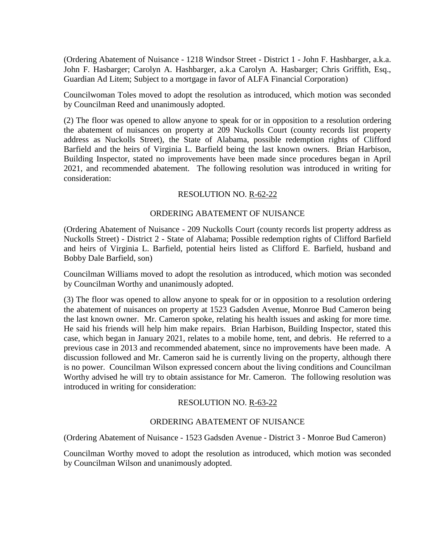(Ordering Abatement of Nuisance - 1218 Windsor Street - District 1 - John F. Hashbarger, a.k.a. John F. Hasbarger; Carolyn A. Hashbarger, a.k.a Carolyn A. Hasbarger; Chris Griffith, Esq., Guardian Ad Litem; Subject to a mortgage in favor of ALFA Financial Corporation)

Councilwoman Toles moved to adopt the resolution as introduced, which motion was seconded by Councilman Reed and unanimously adopted.

(2) The floor was opened to allow anyone to speak for or in opposition to a resolution ordering the abatement of nuisances on property at 209 Nuckolls Court (county records list property address as Nuckolls Street), the State of Alabama, possible redemption rights of Clifford Barfield and the heirs of Virginia L. Barfield being the last known owners. Brian Harbison, Building Inspector, stated no improvements have been made since procedures began in April 2021, and recommended abatement. The following resolution was introduced in writing for consideration:

### RESOLUTION NO. R-62-22

### ORDERING ABATEMENT OF NUISANCE

(Ordering Abatement of Nuisance - 209 Nuckolls Court (county records list property address as Nuckolls Street) - District 2 - State of Alabama; Possible redemption rights of Clifford Barfield and heirs of Virginia L. Barfield, potential heirs listed as Clifford E. Barfield, husband and Bobby Dale Barfield, son)

Councilman Williams moved to adopt the resolution as introduced, which motion was seconded by Councilman Worthy and unanimously adopted.

(3) The floor was opened to allow anyone to speak for or in opposition to a resolution ordering the abatement of nuisances on property at 1523 Gadsden Avenue, Monroe Bud Cameron being the last known owner. Mr. Cameron spoke, relating his health issues and asking for more time. He said his friends will help him make repairs. Brian Harbison, Building Inspector, stated this case, which began in January 2021, relates to a mobile home, tent, and debris. He referred to a previous case in 2013 and recommended abatement, since no improvements have been made. A discussion followed and Mr. Cameron said he is currently living on the property, although there is no power. Councilman Wilson expressed concern about the living conditions and Councilman Worthy advised he will try to obtain assistance for Mr. Cameron. The following resolution was introduced in writing for consideration:

### RESOLUTION NO. R-63-22

### ORDERING ABATEMENT OF NUISANCE

(Ordering Abatement of Nuisance - 1523 Gadsden Avenue - District 3 - Monroe Bud Cameron)

Councilman Worthy moved to adopt the resolution as introduced, which motion was seconded by Councilman Wilson and unanimously adopted.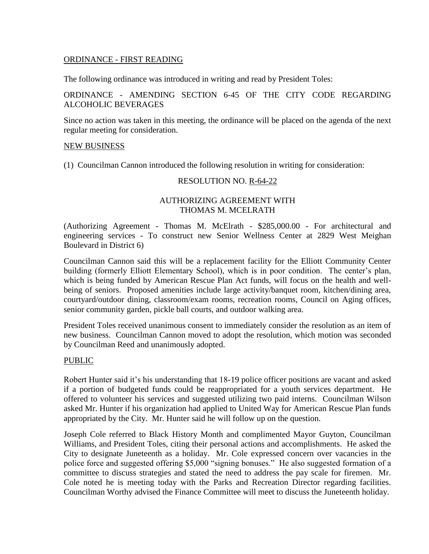### ORDINANCE - FIRST READING

The following ordinance was introduced in writing and read by President Toles:

### ORDINANCE - AMENDING SECTION 6-45 OF THE CITY CODE REGARDING ALCOHOLIC BEVERAGES

Since no action was taken in this meeting, the ordinance will be placed on the agenda of the next regular meeting for consideration.

#### NEW BUSINESS

(1) Councilman Cannon introduced the following resolution in writing for consideration:

#### RESOLUTION NO. R-64-22

### AUTHORIZING AGREEMENT WITH THOMAS M. MCELRATH

(Authorizing Agreement - Thomas M. McElrath - \$285,000.00 - For architectural and engineering services - To construct new Senior Wellness Center at 2829 West Meighan Boulevard in District 6)

Councilman Cannon said this will be a replacement facility for the Elliott Community Center building (formerly Elliott Elementary School), which is in poor condition. The center's plan, which is being funded by American Rescue Plan Act funds, will focus on the health and wellbeing of seniors. Proposed amenities include large activity/banquet room, kitchen/dining area, courtyard/outdoor dining, classroom/exam rooms, recreation rooms, Council on Aging offices, senior community garden, pickle ball courts, and outdoor walking area.

President Toles received unanimous consent to immediately consider the resolution as an item of new business. Councilman Cannon moved to adopt the resolution, which motion was seconded by Councilman Reed and unanimously adopted.

### PUBLIC

Robert Hunter said it's his understanding that 18-19 police officer positions are vacant and asked if a portion of budgeted funds could be reappropriated for a youth services department. He offered to volunteer his services and suggested utilizing two paid interns. Councilman Wilson asked Mr. Hunter if his organization had applied to United Way for American Rescue Plan funds appropriated by the City. Mr. Hunter said he will follow up on the question.

Joseph Cole referred to Black History Month and complimented Mayor Guyton, Councilman Williams, and President Toles, citing their personal actions and accomplishments. He asked the City to designate Juneteenth as a holiday. Mr. Cole expressed concern over vacancies in the police force and suggested offering \$5,000 "signing bonuses." He also suggested formation of a committee to discuss strategies and stated the need to address the pay scale for firemen. Mr. Cole noted he is meeting today with the Parks and Recreation Director regarding facilities. Councilman Worthy advised the Finance Committee will meet to discuss the Juneteenth holiday.